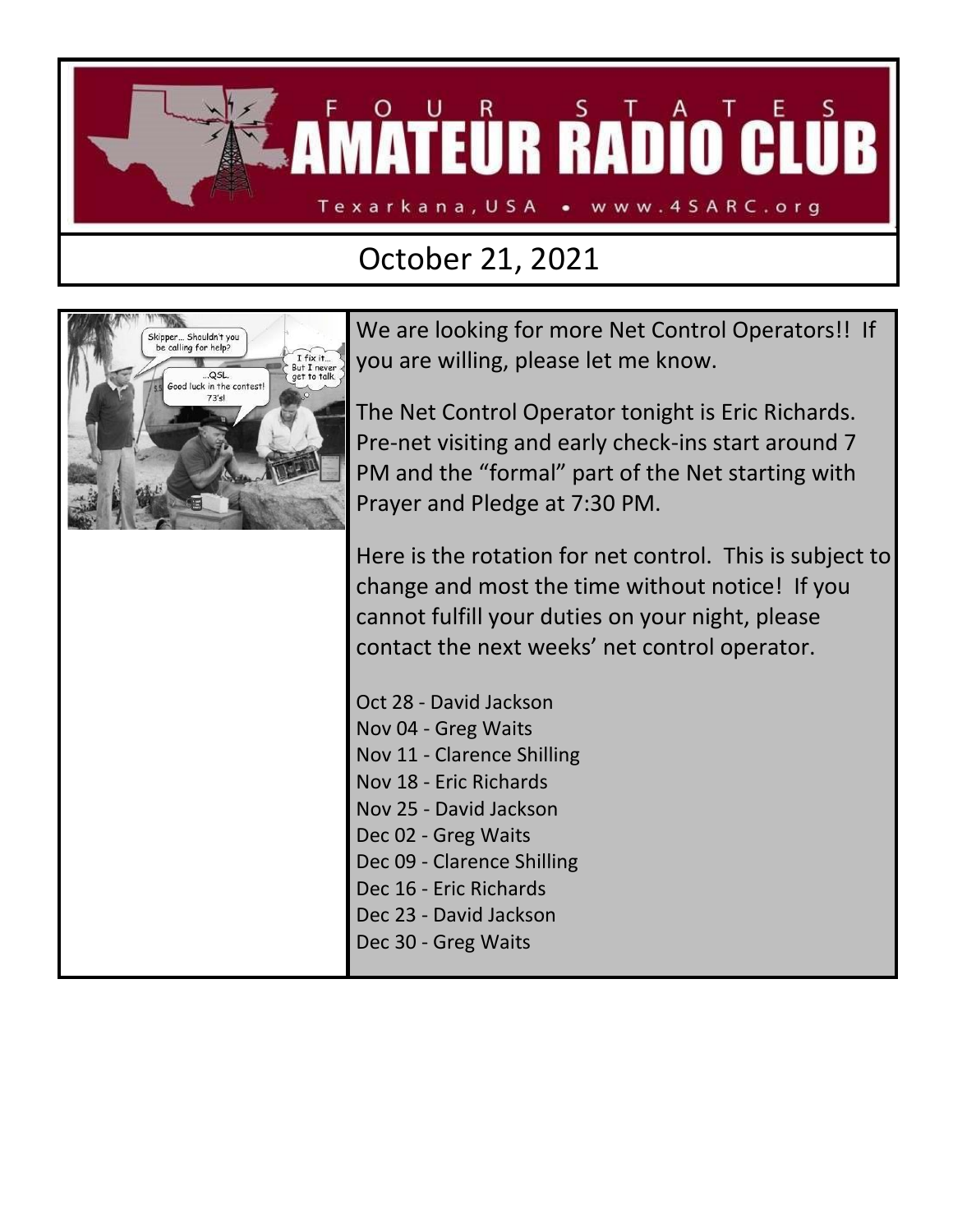

## October 21, 2021



We are looking for more Net Control Operators!! If you are willing, please let me know.

The Net Control Operator tonight is Eric Richards. Pre-net visiting and early check-ins start around 7 PM and the "formal" part of the Net starting with Prayer and Pledge at 7:30 PM.

Here is the rotation for net control. This is subject to change and most the time without notice! If you cannot fulfill your duties on your night, please contact the next weeks' net control operator.

Oct 28 - David Jackson Nov 04 - Greg Waits Nov 11 - Clarence Shilling Nov 18 - Eric Richards Nov 25 - David Jackson Dec 02 - Greg Waits Dec 09 - Clarence Shilling Dec 16 - Eric Richards Dec 23 - David Jackson Dec 30 - Greg Waits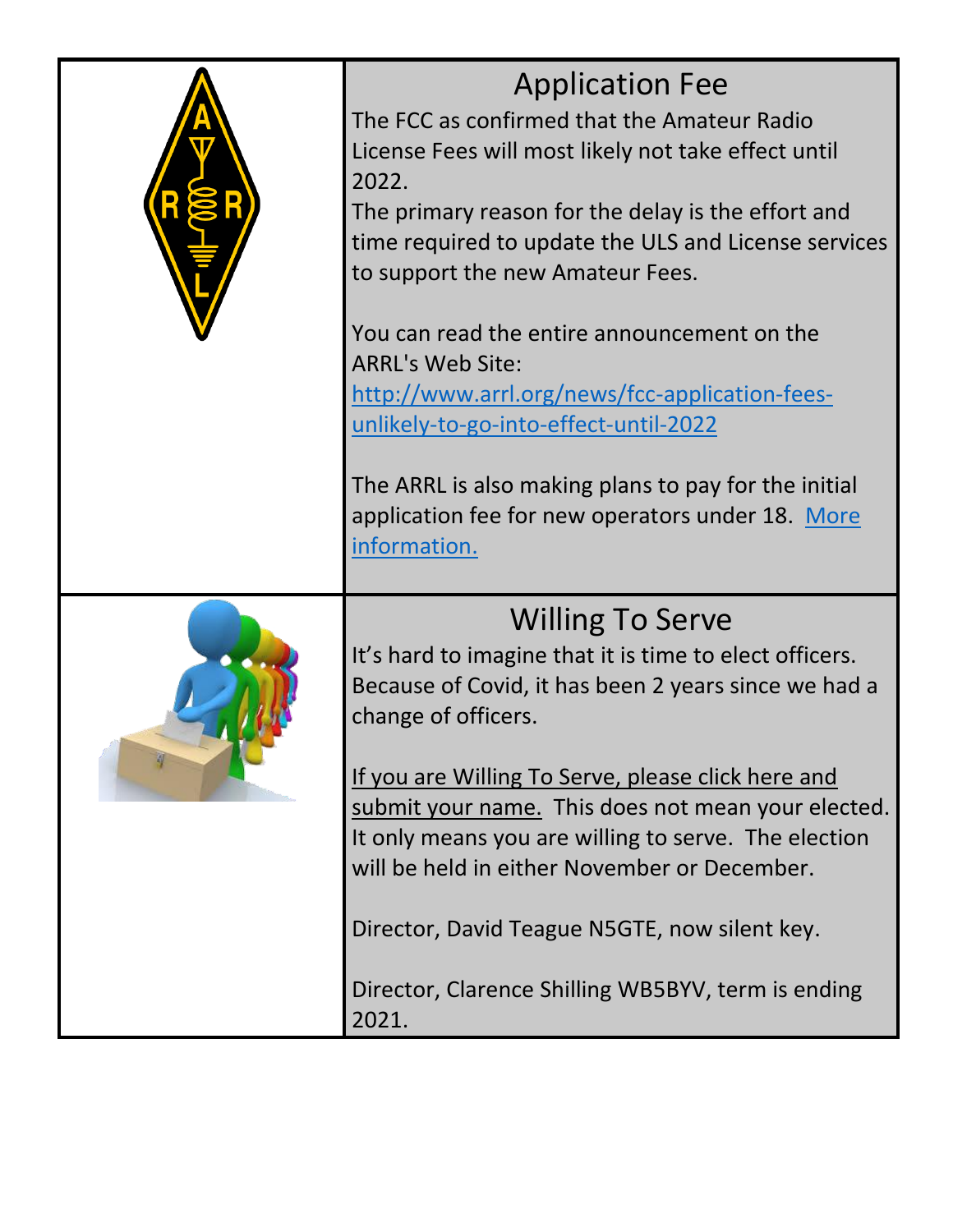

## Application Fee

The FCC as confirmed that the Amateur Radio License Fees will most likely not take effect until 2022.

The primary reason for the delay is the effort and time required to update the ULS and License services to support the new Amateur Fees.

You can read the entire announcement on the ARRL's Web Site:

[http://www.arrl.org/news/fcc-application-fees](http://www.arrl.org/news/fcc-application-fees-unlikely-to-go-into-effect-until-2022)[unlikely-to-go-into-effect-until-2022](http://www.arrl.org/news/fcc-application-fees-unlikely-to-go-into-effect-until-2022)

The ARRL is also making plans to pay for the initial application fee for new operators under 18. [More](http://www.arrl.org/news/view/arrl-board-establishes-program-to-cover-initial-fcc-license-fee-for-young-applicants)  [information.](http://www.arrl.org/news/view/arrl-board-establishes-program-to-cover-initial-fcc-license-fee-for-young-applicants)



It's hard to imagine that it is time to elect officers. Because of Covid, it has been 2 years since we had a change of officers.

[If you are Willing To Serve, please click here and](https://www.4sarc.org/?page_id=2433)  [submit your name.](https://www.4sarc.org/?page_id=2433) This does not mean your elected. It only means you are willing to serve. The election will be held in either November or December.

Director, David Teague N5GTE, now silent key.

Director, Clarence Shilling WB5BYV, term is ending 2021.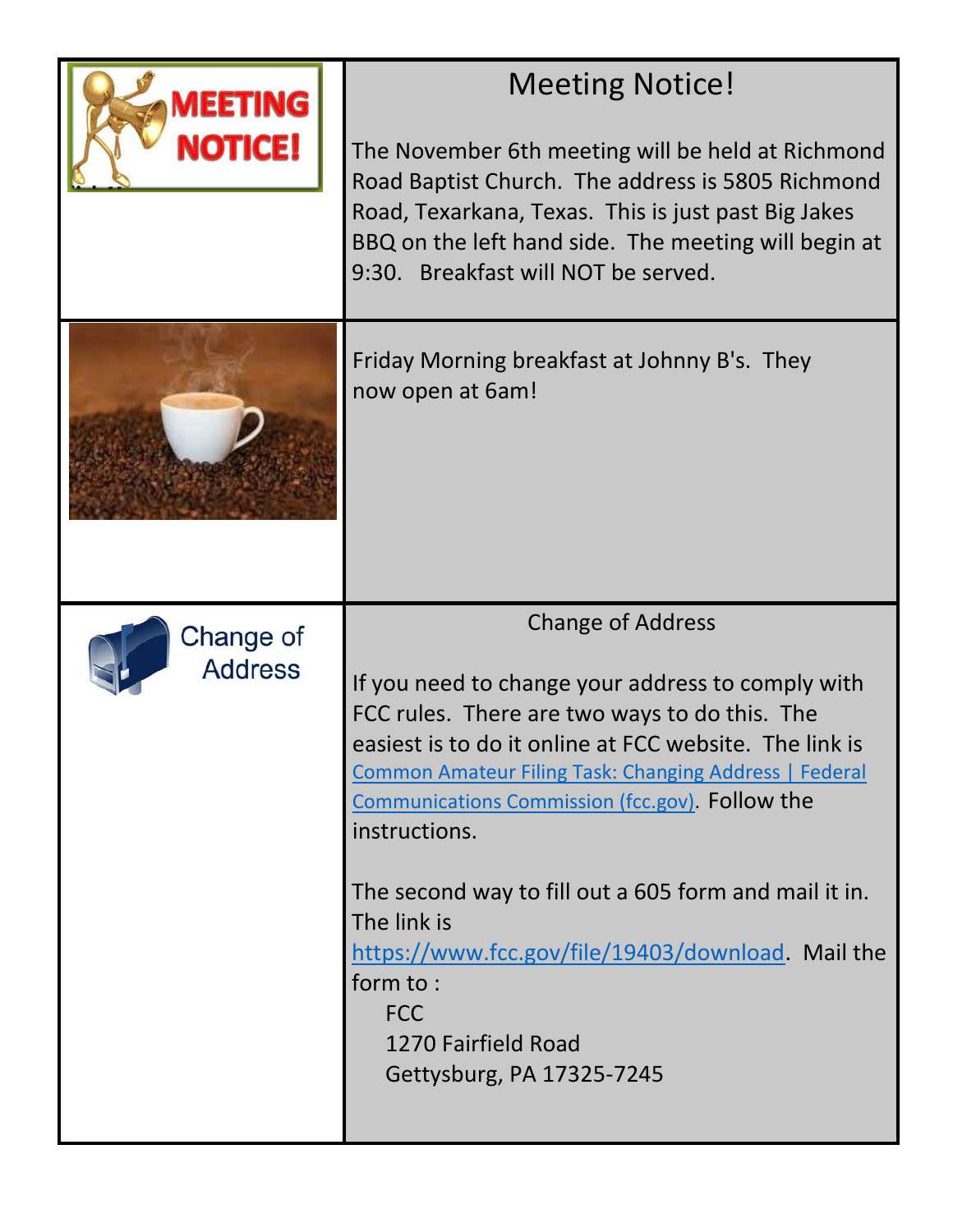| MEETING<br>NOTICE!          | <b>Meeting Notice!</b><br>The November 6th meeting will be held at Richmond<br>Road Baptist Church. The address is 5805 Richmond<br>Road, Texarkana, Texas. This is just past Big Jakes<br>BBQ on the left hand side. The meeting will begin at<br>9:30. Breakfast will NOT be served.                                                                                                                                                                                                                                                  |  |  |
|-----------------------------|-----------------------------------------------------------------------------------------------------------------------------------------------------------------------------------------------------------------------------------------------------------------------------------------------------------------------------------------------------------------------------------------------------------------------------------------------------------------------------------------------------------------------------------------|--|--|
|                             | Friday Morning breakfast at Johnny B's. They<br>now open at 6am!                                                                                                                                                                                                                                                                                                                                                                                                                                                                        |  |  |
| Change of<br><b>Address</b> | <b>Change of Address</b><br>If you need to change your address to comply with<br>FCC rules. There are two ways to do this. The<br>easiest is to do it online at FCC website. The link is<br><b>Common Amateur Filing Task: Changing Address   Federal</b><br>Communications Commission (fcc.gov). Follow the<br>instructions.<br>The second way to fill out a 605 form and mail it in.<br>The link is<br>https://www.fcc.gov/file/19403/download Mail the<br>form to:<br><b>FCC</b><br>1270 Fairfield Road<br>Gettysburg, PA 17325-7245 |  |  |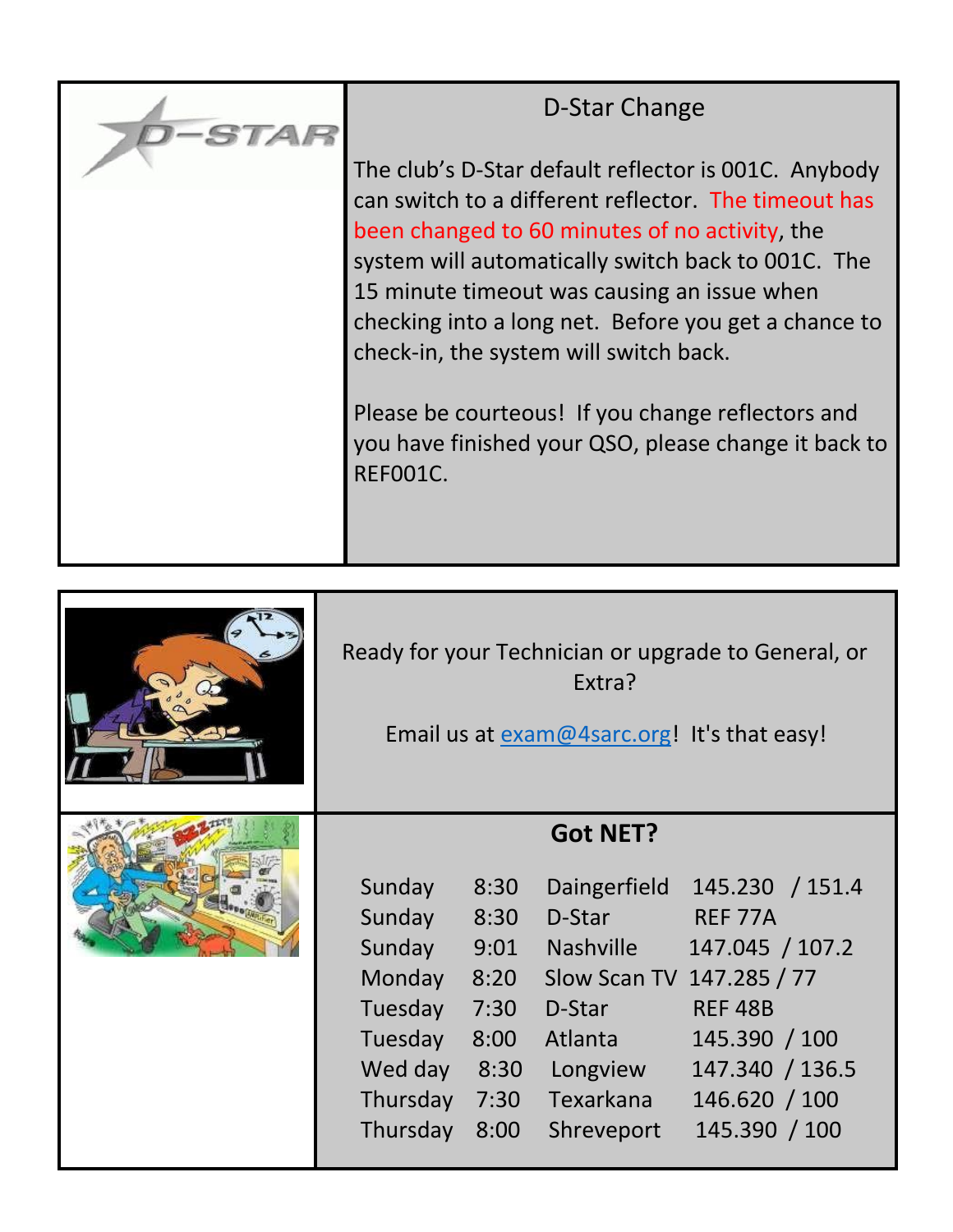

## D-Star Change

The club's D-Star default reflector is 001C. Anybody can switch to a different reflector. The timeout has been changed to 60 minutes of no activity, the system will automatically switch back to 001C. The 15 minute timeout was causing an issue when checking into a long net. Before you get a chance to check-in, the system will switch back.

Please be courteous! If you change reflectors and you have finished your QSO, please change it back to REF001C.

| Ready for your Technician or upgrade to General, or<br>Extra?<br>Email us at exam@4sarc.org! It's that easy! |      |                  |                           |
|--------------------------------------------------------------------------------------------------------------|------|------------------|---------------------------|
| Sunday                                                                                                       | 8:30 | <b>Got NET?</b>  | 145.230 / 151.4           |
| Sunday                                                                                                       | 8:30 | Daingerfield     | REF 77A                   |
| Sunday                                                                                                       | 9:01 | D-Star           | 147.045 / 107.2           |
| Monday                                                                                                       | 8:20 | <b>Nashville</b> | Slow Scan TV 147.285 / 77 |
| Tuesday                                                                                                      | 7:30 | D-Star           | <b>REF 48B</b>            |
| Tuesday                                                                                                      | 8:00 | Atlanta          | 145.390 / 100             |
| Wed day                                                                                                      | 8:30 | Longview         | 147.340 / 136.5           |
| Thursday                                                                                                     | 7:30 | Texarkana        | 146.620 / 100             |
| Thursday                                                                                                     | 8:00 | Shreveport       | 145.390 / 100             |